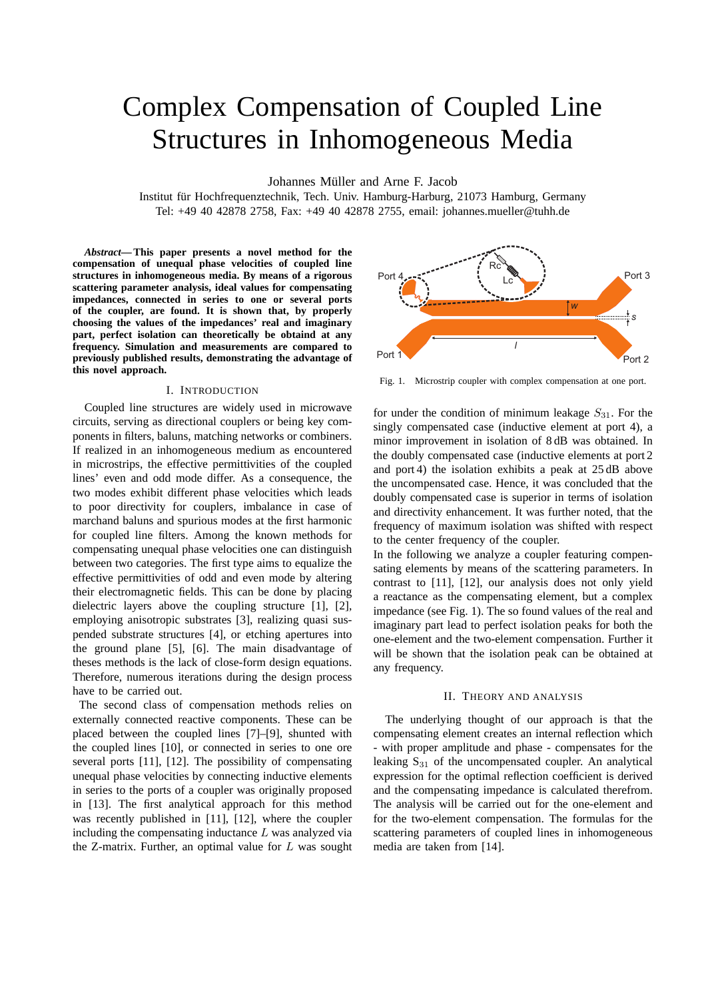# Complex Compensation of Coupled Line Structures in Inhomogeneous Media

Johannes Müller and Arne F. Jacob

Institut für Hochfrequenztechnik, Tech. Univ. Hamburg-Harburg, 21073 Hamburg, Germany Tel: +49 40 42878 2758, Fax: +49 40 42878 2755, email: johannes.mueller@tuhh.de

*Abstract***— This paper presents a novel method for the compensation of unequal phase velocities of coupled line structures in inhomogeneous media. By means of a rigorous scattering parameter analysis, ideal values for compensating impedances, connected in series to one or several ports of the coupler, are found. It is shown that, by properly choosing the values of the impedances' real and imaginary part, perfect isolation can theoretically be obtaind at any frequency. Simulation and measurements are compared to previously published results, demonstrating the advantage of this novel approach.**

## I. INTRODUCTION

Coupled line structures are widely used in microwave circuits, serving as directional couplers or being key components in filters, baluns, matching networks or combiners. If realized in an inhomogeneous medium as encountered in microstrips, the effective permittivities of the coupled lines' even and odd mode differ. As a consequence, the two modes exhibit different phase velocities which leads to poor directivity for couplers, imbalance in case of marchand baluns and spurious modes at the first harmonic for coupled line filters. Among the known methods for compensating unequal phase velocities one can distinguish between two categories. The first type aims to equalize the effective permittivities of odd and even mode by altering their electromagnetic fields. This can be done by placing dielectric layers above the coupling structure [1], [2], employing anisotropic substrates [3], realizing quasi suspended substrate structures [4], or etching apertures into the ground plane [5], [6]. The main disadvantage of theses methods is the lack of close-form design equations. Therefore, numerous iterations during the design process have to be carried out.

The second class of compensation methods relies on externally connected reactive components. These can be placed between the coupled lines [7]–[9], shunted with the coupled lines [10], or connected in series to one ore several ports [11], [12]. The possibility of compensating unequal phase velocities by connecting inductive elements in series to the ports of a coupler was originally proposed in [13]. The first analytical approach for this method was recently published in [11], [12], where the coupler including the compensating inductance  $L$  was analyzed via the Z-matrix. Further, an optimal value for  $L$  was sought



Fig. 1. Microstrip coupler with complex compensation at one port.

for under the condition of minimum leakage  $S_{31}$ . For the singly compensated case (inductive element at port 4), a minor improvement in isolation of 8 dB was obtained. In the doubly compensated case (inductive elements at port 2 and port 4) the isolation exhibits a peak at 25 dB above the uncompensated case. Hence, it was concluded that the doubly compensated case is superior in terms of isolation and directivity enhancement. It was further noted, that the frequency of maximum isolation was shifted with respect to the center frequency of the coupler.

In the following we analyze a coupler featuring compensating elements by means of the scattering parameters. In contrast to [11], [12], our analysis does not only yield a reactance as the compensating element, but a complex impedance (see Fig. 1). The so found values of the real and imaginary part lead to perfect isolation peaks for both the one-element and the two-element compensation. Further it will be shown that the isolation peak can be obtained at any frequency.

## II. THEORY AND ANALYSIS

The underlying thought of our approach is that the compensating element creates an internal reflection which - with proper amplitude and phase - compensates for the leaking  $S_{31}$  of the uncompensated coupler. An analytical expression for the optimal reflection coefficient is derived and the compensating impedance is calculated therefrom. The analysis will be carried out for the one-element and for the two-element compensation. The formulas for the scattering parameters of coupled lines in inhomogeneous media are taken from [14].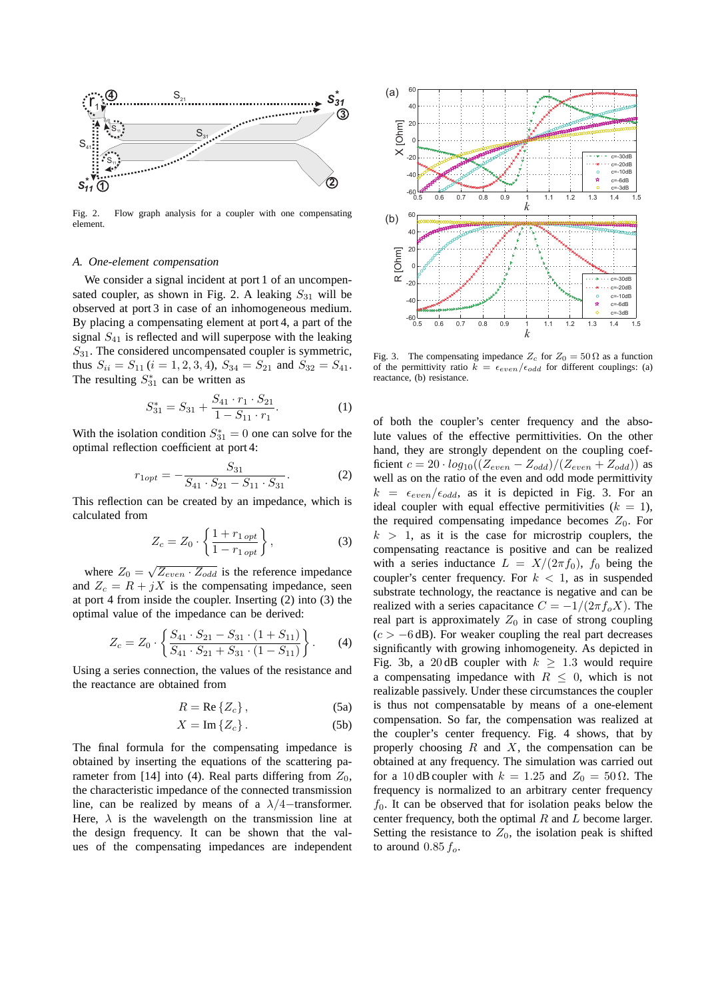

Fig. 2. Flow graph analysis for a coupler with one compensating element.

### *A. One-element compensation*

We consider a signal incident at port 1 of an uncompensated coupler, as shown in Fig. 2. A leaking  $S_{31}$  will be observed at port 3 in case of an inhomogeneous medium. By placing a compensating element at port 4, a part of the signal  $S_{41}$  is reflected and will superpose with the leaking  $S_{31}$ . The considered uncompensated coupler is symmetric, thus  $S_{ii} = S_{11}$  ( $i = 1, 2, 3, 4$ ),  $S_{34} = S_{21}$  and  $S_{32} = S_{41}$ . The resulting  $S_{31}^*$  can be written as

$$
S_{31}^* = S_{31} + \frac{S_{41} \cdot r_1 \cdot S_{21}}{1 - S_{11} \cdot r_1}.
$$
 (1)

With the isolation condition  $S_{31}^* = 0$  one can solve for the optimal reflection coefficient at port 4:

$$
r_{1opt} = -\frac{S_{31}}{S_{41} \cdot S_{21} - S_{11} \cdot S_{31}}.\tag{2}
$$

This reflection can be created by an impedance, which is calculated from

$$
Z_c = Z_0 \cdot \left\{ \frac{1 + r_{1\, opt}}{1 - r_{1\, opt}} \right\},\tag{3}
$$

where  $Z_0 = \sqrt{Z_{even} \cdot Z_{odd}}$  is the reference impedance and  $Z_c = R + jX$  is the compensating impedance, seen at port 4 from inside the coupler. Inserting (2) into (3) the optimal value of the impedance can be derived:

$$
Z_c = Z_0 \cdot \left\{ \frac{S_{41} \cdot S_{21} - S_{31} \cdot (1 + S_{11})}{S_{41} \cdot S_{21} + S_{31} \cdot (1 - S_{11})} \right\}.
$$
 (4)

Using a series connection, the values of the resistance and the reactance are obtained from

$$
R = \text{Re}\left\{Z_c\right\},\tag{5a}
$$

$$
X = \operatorname{Im} \{Z_c\} \,. \tag{5b}
$$

The final formula for the compensating impedance is obtained by inserting the equations of the scattering parameter from [14] into (4). Real parts differing from  $Z_0$ , the characteristic impedance of the connected transmission line, can be realized by means of a  $\lambda/4$ -transformer. Here,  $\lambda$  is the wavelength on the transmission line at the design frequency. It can be shown that the values of the compensating impedances are independent



Fig. 3. The compensating impedance  $Z_c$  for  $Z_0 = 50 \Omega$  as a function of the permittivity ratio  $k = \epsilon_{even}/\epsilon_{odd}$  for different couplings: (a) reactance, (b) resistance.

of both the coupler's center frequency and the absolute values of the effective permittivities. On the other hand, they are strongly dependent on the coupling coefficient  $c = 20 \cdot log_{10}((Z_{even} - Z_{odd})/(Z_{even} + Z_{odd}))$  as well as on the ratio of the even and odd mode permittivity  $k = \epsilon_{even}/\epsilon_{odd}$ , as it is depicted in Fig. 3. For an ideal coupler with equal effective permitivities  $(k = 1)$ , the required compensating impedance becomes  $Z_0$ . For  $k > 1$ , as it is the case for microstrip couplers, the compensating reactance is positive and can be realized with a series inductance  $L = X/(2\pi f_0)$ ,  $f_0$  being the coupler's center frequency. For  $k < 1$ , as in suspended substrate technology, the reactance is negative and can be realized with a series capacitance  $C = -1/(2\pi f_o X)$ . The real part is approximately  $Z_0$  in case of strong coupling  $(c > -6$  dB). For weaker coupling the real part decreases significantly with growing inhomogeneity. As depicted in Fig. 3b, a 20 dB coupler with  $k \geq 1.3$  would require a compensating impedance with  $R \leq 0$ , which is not realizable passively. Under these circumstances the coupler is thus not compensatable by means of a one-element compensation. So far, the compensation was realized at the coupler's center frequency. Fig. 4 shows, that by properly choosing  $R$  and  $X$ , the compensation can be obtained at any frequency. The simulation was carried out for a 10 dB coupler with  $k = 1.25$  and  $Z_0 = 50 \Omega$ . The frequency is normalized to an arbitrary center frequency  $f_0$ . It can be observed that for isolation peaks below the center frequency, both the optimal  $R$  and  $L$  become larger. Setting the resistance to  $Z_0$ , the isolation peak is shifted to around  $0.85 f_o$ .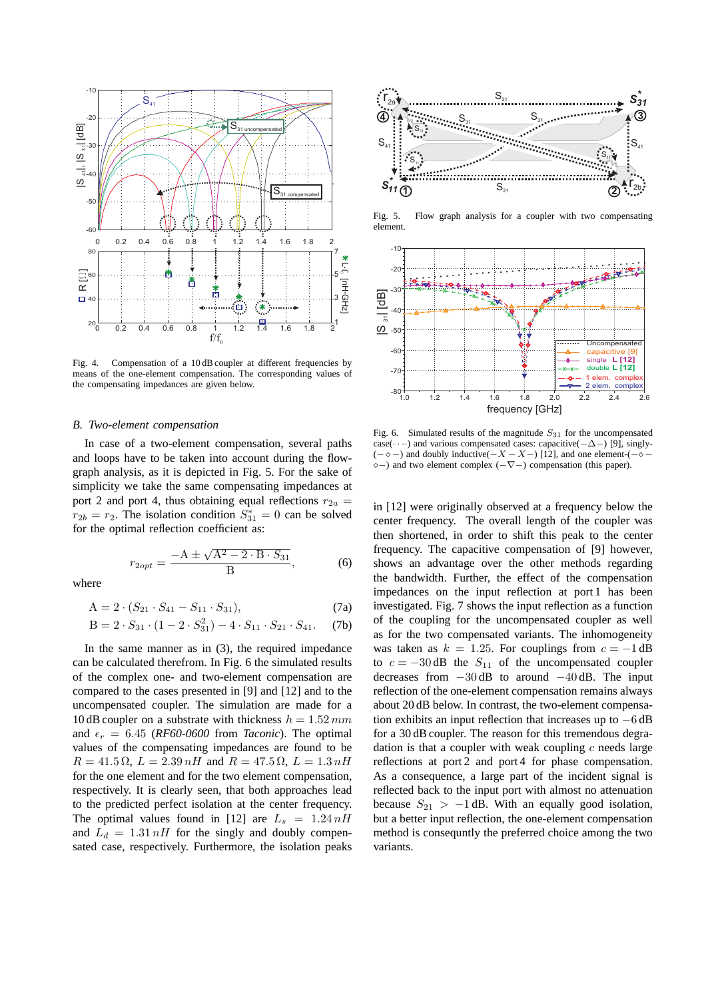

Fig. 4. Compensation of a 10 dB coupler at different frequencies by means of the one-element compensation. The corresponding values of the compensating impedances are given below.

#### *B. Two-element compensation*

In case of a two-element compensation, several paths and loops have to be taken into account during the flowgraph analysis, as it is depicted in Fig. 5. For the sake of simplicity we take the same compensating impedances at port 2 and port 4, thus obtaining equal reflections  $r_{2a}$  =  $r_{2b} = r_2$ . The isolation condition  $S_{31}^* = 0$  can be solved for the optimal reflection coefficient as:

$$
r_{2opt} = \frac{-\mathbf{A} \pm \sqrt{\mathbf{A}^2 - 2 \cdot \mathbf{B} \cdot S_{31}}}{\mathbf{B}},\tag{6}
$$

where

$$
A = 2 \cdot (S_{21} \cdot S_{41} - S_{11} \cdot S_{31}), \tag{7a}
$$

$$
B = 2 \cdot S_{31} \cdot (1 - 2 \cdot S_{31}^2) - 4 \cdot S_{11} \cdot S_{21} \cdot S_{41}. \tag{7b}
$$

In the same manner as in (3), the required impedance can be calculated therefrom. In Fig. 6 the simulated results of the complex one- and two-element compensation are compared to the cases presented in [9] and [12] and to the uncompensated coupler. The simulation are made for a 10 dB coupler on a substrate with thickness  $h = 1.52$  mm and  $\epsilon_r = 6.45$  (*RF60-0600* from *Taconic*). The optimal values of the compensating impedances are found to be  $R = 41.5 \Omega$ ,  $L = 2.39 nH$  and  $R = 47.5 \Omega$ ,  $L = 1.3 nH$ for the one element and for the two element compensation, respectively. It is clearly seen, that both approaches lead to the predicted perfect isolation at the center frequency. The optimal values found in [12] are  $L_s = 1.24 nH$ and  $L_d = 1.31 nH$  for the singly and doubly compensated case, respectively. Furthermore, the isolation peaks



Fig. 5. Flow graph analysis for a coupler with two compensating element.



Fig. 6. Simulated results of the magnitude  $S_{31}$  for the uncompensated case(· · ··) and various compensated cases: capacitive( $-\Delta$ -) [9], singly- $(-\diamond -)$  and doubly inductive( $-X - X -$ ) [12], and one element-( $-\diamond$ ⋄−) and two element complex (−∇−) compensation (this paper).

in [12] were originally observed at a frequency below the center frequency. The overall length of the coupler was then shortened, in order to shift this peak to the center frequency. The capacitive compensation of [9] however, shows an advantage over the other methods regarding the bandwidth. Further, the effect of the compensation impedances on the input reflection at port 1 has been investigated. Fig. 7 shows the input reflection as a function of the coupling for the uncompensated coupler as well as for the two compensated variants. The inhomogeneity was taken as  $k = 1.25$ . For couplings from  $c = -1$  dB to  $c = -30$  dB the  $S_{11}$  of the uncompensated coupler decreases from  $-30$  dB to around  $-40$  dB. The input reflection of the one-element compensation remains always about 20 dB below. In contrast, the two-element compensation exhibits an input reflection that increases up to −6 dB for a 30 dB coupler. The reason for this tremendous degradation is that a coupler with weak coupling  $c$  needs large reflections at port 2 and port 4 for phase compensation. As a consequence, a large part of the incident signal is reflected back to the input port with almost no attenuation because  $S_{21} > -1$  dB. With an equally good isolation, but a better input reflection, the one-element compensation method is consequntly the preferred choice among the two variants.